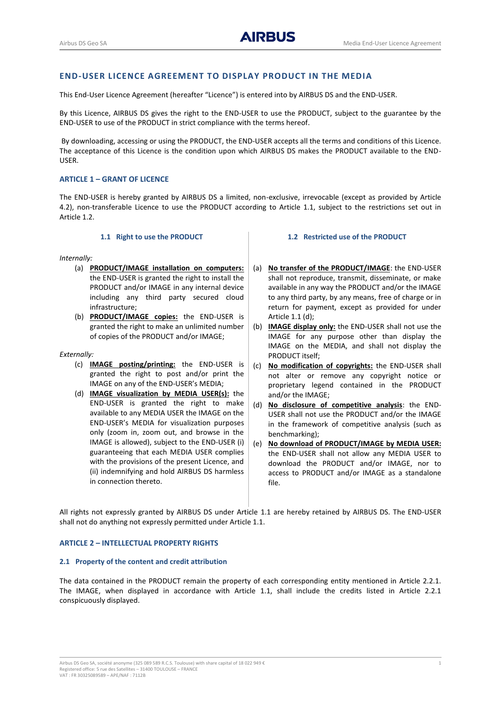# **END-USER LICENCE AGREEMENT TO DISPLAY PRODUCT IN THE MEDIA**

This End-User Licence Agreement (hereafter "Licence") is entered into by AIRBUS DS and the END-USER.

By this Licence, AIRBUS DS gives the right to the END-USER to use the PRODUCT, subject to the guarantee by the END-USER to use of the PRODUCT in strict compliance with the terms hereof.

By downloading, accessing or using the PRODUCT, the END-USER accepts all the terms and conditions of this Licence. The acceptance of this Licence is the condition upon which AIRBUS DS makes the PRODUCT available to the END-USER.

## **ARTICLE 1 – GRANT OF LICENCE**

The END-USER is hereby granted by AIRBUS DS a limited, non-exclusive, irrevocable (except as provided by Article 4.2), non-transferable Licence to use the PRODUCT according to Article 1.1, subject to the restrictions set out in Article 1.2.

#### **1.1 Right to use the PRODUCT**

#### <span id="page-0-1"></span>*Internally:*

- (a) **PRODUCT/IMAGE installation on computers:**  the END-USER is granted the right to install the PRODUCT and/or IMAGE in any internal device including any third party secured cloud infrastructure;
- (b) **PRODUCT/IMAGE copies:** the END-USER is granted the right to make an unlimited number of copies of the PRODUCT and/or IMAGE;

### *Externally:*

- (c) **IMAGE posting/printing:** the END-USER is granted the right to post and/or print the IMAGE on any of the END-USER's MEDIA;
- <span id="page-0-0"></span>(d) **IMAGE visualization by MEDIA USER(s):** the END-USER is granted the right to make available to any MEDIA USER the IMAGE on the END-USER's MEDIA for visualization purposes only (zoom in, zoom out, and browse in the IMAGE is allowed), subject to the END-USER (i) guaranteeing that each MEDIA USER complies with the provisions of the present Licence, and (ii) indemnifying and hold AIRBUS DS harmless in connection thereto.

# **1.2 Restricted use of the PRODUCT**

- (a) **No transfer of the PRODUCT/IMAGE**: the END-USER shall not reproduce, transmit, disseminate, or make available in any way the PRODUCT and/or the IMAGE to any third party, by any means, free of charge or in return for payment, except as provided for under Article 1.1 [\(d\);](#page-0-0)
- (b) **IMAGE display only:** the END-USER shall not use the IMAGE for any purpose other than display the IMAGE on the MEDIA, and shall not display the PRODUCT itself;
- (c) **No modification of copyrights:** the END-USER shall not alter or remove any copyright notice or proprietary legend contained in the PRODUCT and/or the IMAGE;
- (d) **No disclosure of competitive analysis**: the END-USER shall not use the PRODUCT and/or the IMAGE in the framework of competitive analysis (such as benchmarking);
- (e) **No download of PRODUCT/IMAGE by MEDIA USER:** the END-USER shall not allow any MEDIA USER to download the PRODUCT and/or IMAGE, nor to access to PRODUCT and/or IMAGE as a standalone file.

All rights not expressly granted by AIRBUS DS under Article [1.1](#page-0-1) are hereby retained by AIRBUS DS. The END-USER shall not do anything not expressly permitted under Articl[e 1.1.](#page-0-1)

### **ARTICLE 2 – INTELLECTUAL PROPERTY RIGHTS**

#### **2.1 Property of the content and credit attribution**

The data contained in the PRODUCT remain the property of each corresponding entity mentioned in Article 2.2.1. The IMAGE, when displayed in accordance with Article [1.1,](#page-0-1) shall include the credits listed in Article 2.2.1 conspicuously displayed.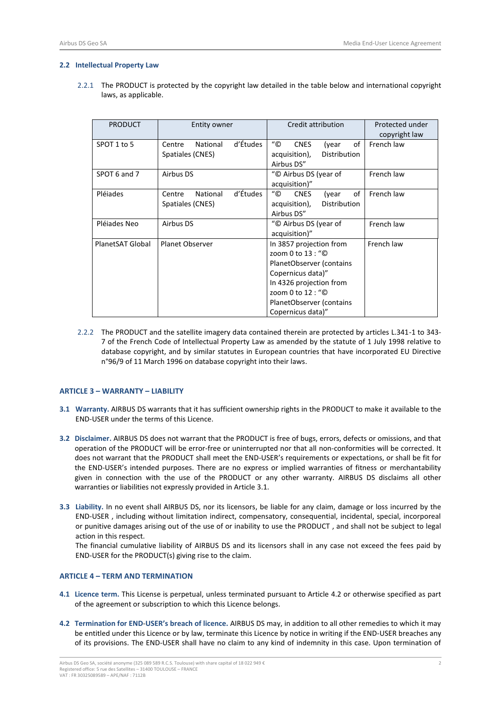#### **2.2 Intellectual Property Law**

2.2.1 The PRODUCT is protected by the copyright law detailed in the table below and international copyright laws, as applicable.

| <b>PRODUCT</b>            | <b>Entity owner</b> |                                             | Credit attribution                            |                             |              | Protected under<br>copyright law |            |
|---------------------------|---------------------|---------------------------------------------|-----------------------------------------------|-----------------------------|--------------|----------------------------------|------------|
| SPOT 1 to 5               | National<br>Centre  | d'Études                                    | $^{\prime\prime}$ ©                           | <b>CNES</b>                 | (year        | of                               | French law |
|                           | Spatiales (CNES)    |                                             |                                               | acquisition),<br>Airbus DS" | Distribution |                                  |            |
| SPOT 6 and 7              | Airbus DS           | "© Airbus DS (year of<br>acquisition)"      |                                               |                             | French law   |                                  |            |
| Pléiades                  | National<br>Centre  | d'Études                                    | "©                                            | <b>CNES</b>                 | (year        | οf                               | French law |
|                           | Spatiales (CNES)    | Distribution<br>acquisition),<br>Airbus DS" |                                               |                             |              |                                  |            |
|                           |                     |                                             |                                               |                             |              |                                  |            |
| Pléjades Neo<br>Airbus DS |                     |                                             | "© Airbus DS (year of                         |                             |              |                                  | French law |
|                           |                     |                                             | acquisition)"                                 |                             |              |                                  |            |
| PlanetSAT Global          | Planet Observer     | In 3857 projection from                     |                                               |                             |              | French law                       |            |
|                           |                     |                                             | zoom 0 to 13 : "©<br>PlanetObserver (contains |                             |              |                                  |            |
|                           |                     |                                             |                                               |                             |              |                                  |            |
|                           |                     |                                             | Copernicus data)"                             |                             |              |                                  |            |
|                           |                     |                                             | In 4326 projection from                       |                             |              |                                  |            |
|                           |                     |                                             | zoom 0 to 12 : "©                             |                             |              |                                  |            |
|                           |                     |                                             | PlanetObserver (contains                      |                             |              |                                  |            |
|                           |                     |                                             | Copernicus data)"                             |                             |              |                                  |            |

2.2.2 The PRODUCT and the satellite imagery data contained therein are protected by articles L.341-1 to 343- 7 of the French Code of Intellectual Property Law as amended by the statute of 1 July 1998 relative to database copyright, and by similar statutes in European countries that have incorporated EU Directive n°96/9 of 11 March 1996 on database copyright into their laws.

# **ARTICLE 3 – WARRANTY – LIABILITY**

- <span id="page-1-0"></span>**3.1 Warranty.** AIRBUS DS warrants that it has sufficient ownership rights in the PRODUCT to make it available to the END-USER under the terms of this Licence.
- **3.2 Disclaimer.** AIRBUS DS does not warrant that the PRODUCT is free of bugs, errors, defects or omissions, and that operation of the PRODUCT will be error-free or uninterrupted nor that all non-conformities will be corrected. It does not warrant that the PRODUCT shall meet the END-USER's requirements or expectations, or shall be fit for the END-USER's intended purposes. There are no express or implied warranties of fitness or merchantability given in connection with the use of the PRODUCT or any other warranty. AIRBUS DS disclaims all other warranties or liabilities not expressly provided in Articl[e 3.1.](#page-1-0)
- **3.3 Liability.** In no event shall AIRBUS DS, nor its licensors, be liable for any claim, damage or loss incurred by the END-USER , including without limitation indirect, compensatory, consequential, incidental, special, incorporeal or punitive damages arising out of the use of or inability to use the PRODUCT , and shall not be subject to legal action in this respect.

The financial cumulative liability of AIRBUS DS and its licensors shall in any case not exceed the fees paid by END-USER for the PRODUCT(s) giving rise to the claim.

# **ARTICLE 4 – TERM AND TERMINATION**

- **4.1 Licence term.** This License is perpetual, unless terminated pursuant to Article [4.2](#page-1-1) or otherwise specified as part of the agreement or subscription to which this Licence belongs.
- <span id="page-1-1"></span>**4.2 Termination for END**-**USER's breach of licence.** AIRBUS DS may, in addition to all other remedies to which it may be entitled under this Licence or by law, terminate this Licence by notice in writing if the END-USER breaches any of its provisions. The END-USER shall have no claim to any kind of indemnity in this case. Upon termination of